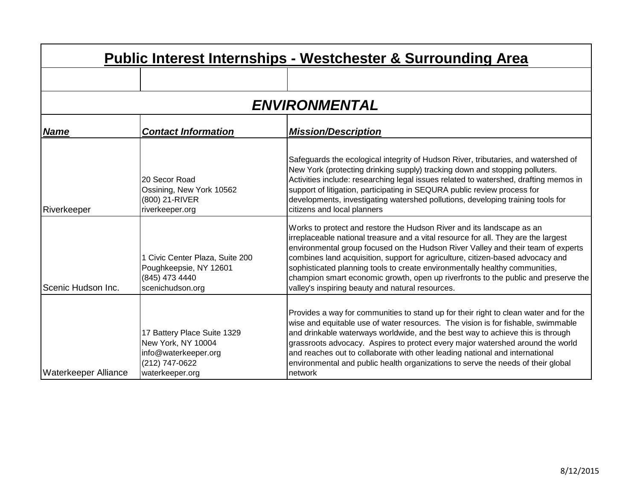| Public Interest Internships - Westchester & Surrounding Area |                                                                                                                |                                                                                                                                                                                                                                                                                                                                                                                                                                                                                                                                                            |
|--------------------------------------------------------------|----------------------------------------------------------------------------------------------------------------|------------------------------------------------------------------------------------------------------------------------------------------------------------------------------------------------------------------------------------------------------------------------------------------------------------------------------------------------------------------------------------------------------------------------------------------------------------------------------------------------------------------------------------------------------------|
|                                                              |                                                                                                                |                                                                                                                                                                                                                                                                                                                                                                                                                                                                                                                                                            |
|                                                              |                                                                                                                | <b>ENVIRONMENTAL</b>                                                                                                                                                                                                                                                                                                                                                                                                                                                                                                                                       |
| <b>Name</b>                                                  | <b>Contact Information</b>                                                                                     | <b>Mission/Description</b>                                                                                                                                                                                                                                                                                                                                                                                                                                                                                                                                 |
| Riverkeeper                                                  | 20 Secor Road<br>Ossining, New York 10562<br>(800) 21-RIVER<br>riverkeeper.org                                 | Safeguards the ecological integrity of Hudson River, tributaries, and watershed of<br>New York (protecting drinking supply) tracking down and stopping polluters.<br>Activities include: researching legal issues related to watershed, drafting memos in<br>support of litigation, participating in SEQURA public review process for<br>developments, investigating watershed pollutions, developing training tools for<br>citizens and local planners                                                                                                    |
| Scenic Hudson Inc.                                           | 1 Civic Center Plaza, Suite 200<br>Poughkeepsie, NY 12601<br>(845) 473 4440<br>scenichudson.org                | Works to protect and restore the Hudson River and its landscape as an<br>irreplaceable national treasure and a vital resource for all. They are the largest<br>environmental group focused on the Hudson River Valley and their team of experts<br>combines land acquisition, support for agriculture, citizen-based advocacy and<br>sophisticated planning tools to create environmentally healthy communities,<br>champion smart economic growth, open up riverfronts to the public and preserve the<br>valley's inspiring beauty and natural resources. |
| <b>Waterkeeper Alliance</b>                                  | 17 Battery Place Suite 1329<br>New York, NY 10004<br>info@waterkeeper.org<br>(212) 747-0622<br>waterkeeper.org | Provides a way for communities to stand up for their right to clean water and for the<br>wise and equitable use of water resources. The vision is for fishable, swimmable<br>and drinkable waterways worldwide, and the best way to achieve this is through<br>grassroots advocacy. Aspires to protect every major watershed around the world<br>and reaches out to collaborate with other leading national and international<br>environmental and public health organizations to serve the needs of their global<br>network                               |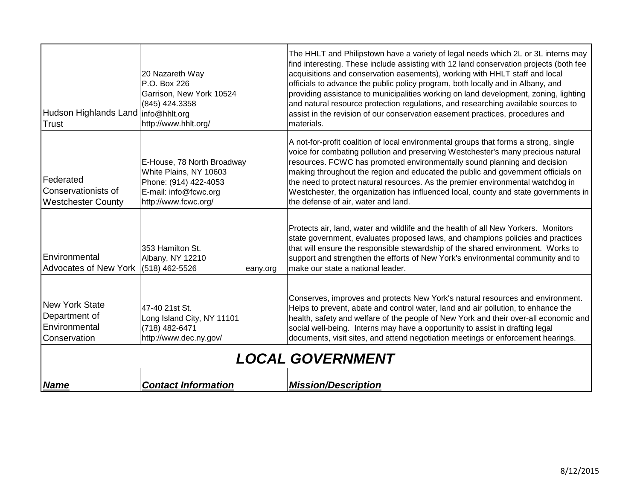| Hudson Highlands Land   info@hhlt.org<br><b>Trust</b>                   | 20 Nazareth Way<br>P.O. Box 226<br>Garrison, New York 10524<br>(845) 424.3358<br>http://www.hhlt.org/                          | The HHLT and Philipstown have a variety of legal needs which 2L or 3L interns may<br>find interesting. These include assisting with 12 land conservation projects (both fee<br>acquisitions and conservation easements), working with HHLT staff and local<br>officials to advance the public policy program, both locally and in Albany, and<br>providing assistance to municipalities working on land development, zoning, lighting<br>and natural resource protection regulations, and researching available sources to<br>assist in the revision of our conservation easement practices, procedures and<br>materials. |
|-------------------------------------------------------------------------|--------------------------------------------------------------------------------------------------------------------------------|---------------------------------------------------------------------------------------------------------------------------------------------------------------------------------------------------------------------------------------------------------------------------------------------------------------------------------------------------------------------------------------------------------------------------------------------------------------------------------------------------------------------------------------------------------------------------------------------------------------------------|
| Federated<br>Conservationists of<br><b>Westchester County</b>           | E-House, 78 North Broadway<br>White Plains, NY 10603<br>Phone: (914) 422-4053<br>E-mail: info@fcwc.org<br>http://www.fcwc.org/ | A not-for-profit coalition of local environmental groups that forms a strong, single<br>voice for combating pollution and preserving Westchester's many precious natural<br>resources. FCWC has promoted environmentally sound planning and decision<br>making throughout the region and educated the public and government officials on<br>the need to protect natural resources. As the premier environmental watchdog in<br>Westchester, the organization has influenced local, county and state governments in<br>the defense of air, water and land.                                                                 |
| Environmental<br><b>Advocates of New York</b>                           | 353 Hamilton St.<br>Albany, NY 12210<br>(518) 462-5526<br>eany.org                                                             | Protects air, land, water and wildlife and the health of all New Yorkers. Monitors<br>state government, evaluates proposed laws, and champions policies and practices<br>that will ensure the responsible stewardship of the shared environment. Works to<br>support and strengthen the efforts of New York's environmental community and to<br>make our state a national leader.                                                                                                                                                                                                                                         |
| <b>New York State</b><br>Department of<br>Environmental<br>Conservation | 47-40 21st St.<br>Long Island City, NY 11101<br>(718) 482-6471<br>http://www.dec.ny.gov/                                       | Conserves, improves and protects New York's natural resources and environment.<br>Helps to prevent, abate and control water, land and air pollution, to enhance the<br>health, safety and welfare of the people of New York and their over-all economic and<br>social well-being. Interns may have a opportunity to assist in drafting legal<br>documents, visit sites, and attend negotiation meetings or enforcement hearings.                                                                                                                                                                                          |
|                                                                         |                                                                                                                                | <b>LOCAL GOVERNMENT</b>                                                                                                                                                                                                                                                                                                                                                                                                                                                                                                                                                                                                   |
| <b>Name</b>                                                             | <b>Contact Information</b>                                                                                                     | <b>Mission/Description</b>                                                                                                                                                                                                                                                                                                                                                                                                                                                                                                                                                                                                |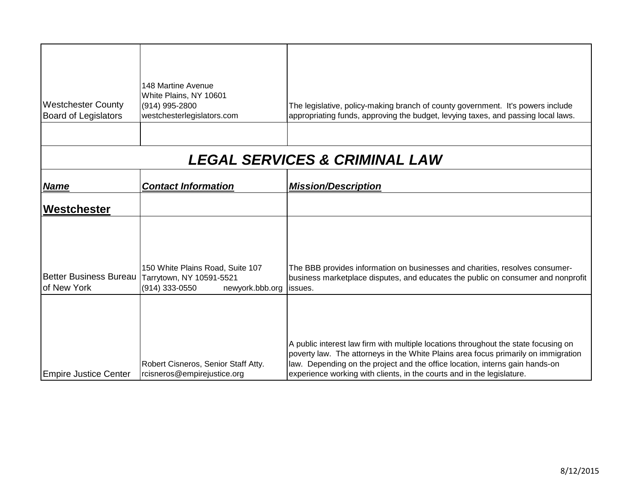| <b>Westchester County</b><br><b>Board of Legislators</b> | <b>148 Martine Avenue</b><br>White Plains, NY 10601<br>(914) 995-2800<br>westchesterlegislators.com | The legislative, policy-making branch of county government. It's powers include<br>appropriating funds, approving the budget, levying taxes, and passing local laws.                                                                                                                                                                |
|----------------------------------------------------------|-----------------------------------------------------------------------------------------------------|-------------------------------------------------------------------------------------------------------------------------------------------------------------------------------------------------------------------------------------------------------------------------------------------------------------------------------------|
|                                                          |                                                                                                     | <b>LEGAL SERVICES &amp; CRIMINAL LAW</b>                                                                                                                                                                                                                                                                                            |
|                                                          |                                                                                                     |                                                                                                                                                                                                                                                                                                                                     |
| <b>Name</b>                                              | <b>Contact Information</b>                                                                          | <b>Mission/Description</b>                                                                                                                                                                                                                                                                                                          |
| Westchester                                              |                                                                                                     |                                                                                                                                                                                                                                                                                                                                     |
| <b>Better Business Bureau</b><br>of New York             | 150 White Plains Road, Suite 107<br>Tarrytown, NY 10591-5521<br>(914) 333-0550<br>newyork.bbb.org   | The BBB provides information on businesses and charities, resolves consumer-<br>business marketplace disputes, and educates the public on consumer and nonprofit<br>issues.                                                                                                                                                         |
| <b>Empire Justice Center</b>                             | Robert Cisneros, Senior Staff Atty.<br>rcisneros@empirejustice.org                                  | A public interest law firm with multiple locations throughout the state focusing on<br>poverty law. The attorneys in the White Plains area focus primarily on immigration<br>law. Depending on the project and the office location, interns gain hands-on<br>experience working with clients, in the courts and in the legislature. |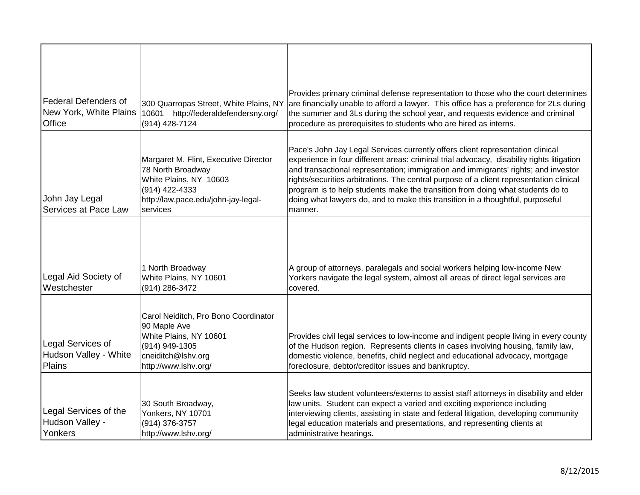| <b>Federal Defenders of</b><br>New York, White Plains<br>Office | 300 Quarropas Street, White Plains, NY<br>10601<br>http://federaldefendersny.org/<br>(914) 428-7124                                                       | Provides primary criminal defense representation to those who the court determines<br>are financially unable to afford a lawyer. This office has a preference for 2Ls during<br>the summer and 3Ls during the school year, and requests evidence and criminal<br>procedure as prerequisites to students who are hired as interns.                                                                                                                                                                                                           |
|-----------------------------------------------------------------|-----------------------------------------------------------------------------------------------------------------------------------------------------------|---------------------------------------------------------------------------------------------------------------------------------------------------------------------------------------------------------------------------------------------------------------------------------------------------------------------------------------------------------------------------------------------------------------------------------------------------------------------------------------------------------------------------------------------|
| John Jay Legal<br>Services at Pace Law                          | Margaret M. Flint, Executive Director<br>78 North Broadway<br>White Plains, NY 10603<br>(914) 422-4333<br>http://law.pace.edu/john-jay-legal-<br>services | Pace's John Jay Legal Services currently offers client representation clinical<br>experience in four different areas: criminal trial advocacy, disability rights litigation<br>and transactional representation; immigration and immigrants' rights; and investor<br>rights/securities arbitrations. The central purpose of a client representation clinical<br>program is to help students make the transition from doing what students do to<br>doing what lawyers do, and to make this transition in a thoughtful, purposeful<br>manner. |
| Legal Aid Society of<br>Westchester                             | 1 North Broadway<br>White Plains, NY 10601<br>(914) 286-3472                                                                                              | A group of attorneys, paralegals and social workers helping low-income New<br>Yorkers navigate the legal system, almost all areas of direct legal services are<br>covered.                                                                                                                                                                                                                                                                                                                                                                  |
| Legal Services of<br>Hudson Valley - White<br>Plains            | Carol Neiditch, Pro Bono Coordinator<br>90 Maple Ave<br>White Plains, NY 10601<br>(914) 949-1305<br>cneiditch@lshv.org<br>http://www.lshv.org/            | Provides civil legal services to low-income and indigent people living in every county<br>of the Hudson region. Represents clients in cases involving housing, family law,<br>domestic violence, benefits, child neglect and educational advocacy, mortgage<br>foreclosure, debtor/creditor issues and bankruptcy.                                                                                                                                                                                                                          |
| Legal Services of the<br>Hudson Valley -<br>Yonkers             | 30 South Broadway,<br>Yonkers, NY 10701<br>(914) 376-3757<br>http://www.lshv.org/                                                                         | Seeks law student volunteers/externs to assist staff attorneys in disability and elder<br>law units. Student can expect a varied and exciting experience including<br>interviewing clients, assisting in state and federal litigation, developing community<br>legal education materials and presentations, and representing clients at<br>administrative hearings.                                                                                                                                                                         |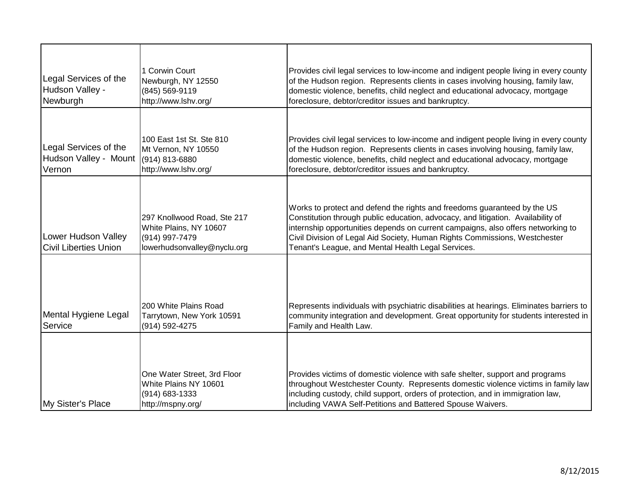| Legal Services of the<br>Hudson Valley -<br>Newburgh     | 1 Corwin Court<br>Newburgh, NY 12550<br>(845) 569-9119<br>http://www.lshv.org/                         | Provides civil legal services to low-income and indigent people living in every county<br>of the Hudson region. Represents clients in cases involving housing, family law,<br>domestic violence, benefits, child neglect and educational advocacy, mortgage<br>foreclosure, debtor/creditor issues and bankruptcy.                                                                   |
|----------------------------------------------------------|--------------------------------------------------------------------------------------------------------|--------------------------------------------------------------------------------------------------------------------------------------------------------------------------------------------------------------------------------------------------------------------------------------------------------------------------------------------------------------------------------------|
| Legal Services of the<br>Hudson Valley - Mount<br>Vernon | 100 East 1st St. Ste 810<br>Mt Vernon, NY 10550<br>(914) 813-6880<br>http://www.lshv.org/              | Provides civil legal services to low-income and indigent people living in every county<br>of the Hudson region. Represents clients in cases involving housing, family law,<br>domestic violence, benefits, child neglect and educational advocacy, mortgage<br>foreclosure, debtor/creditor issues and bankruptcy.                                                                   |
| Lower Hudson Valley<br><b>Civil Liberties Union</b>      | 297 Knollwood Road, Ste 217<br>White Plains, NY 10607<br>(914) 997-7479<br>lowerhudsonvalley@nyclu.org | Works to protect and defend the rights and freedoms guaranteed by the US<br>Constitution through public education, advocacy, and litigation. Availability of<br>internship opportunities depends on current campaigns, also offers networking to<br>Civil Division of Legal Aid Society, Human Rights Commissions, Westchester<br>Tenant's League, and Mental Health Legal Services. |
| Mental Hygiene Legal<br>Service                          | 200 White Plains Road<br>Tarrytown, New York 10591<br>(914) 592-4275                                   | Represents individuals with psychiatric disabilities at hearings. Eliminates barriers to<br>community integration and development. Great opportunity for students interested in<br>Family and Health Law.                                                                                                                                                                            |
| My Sister's Place                                        | One Water Street, 3rd Floor<br>White Plains NY 10601<br>(914) 683-1333<br>http://mspny.org/            | Provides victims of domestic violence with safe shelter, support and programs<br>throughout Westchester County. Represents domestic violence victims in family law<br>including custody, child support, orders of protection, and in immigration law,<br>including VAWA Self-Petitions and Battered Spouse Waivers.                                                                  |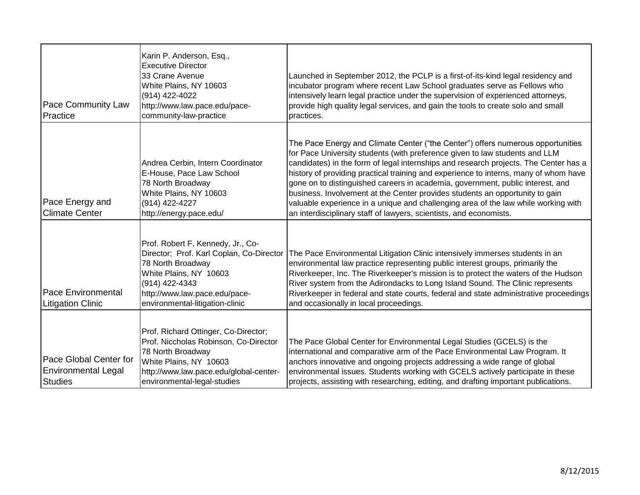| Pace Community Law<br>Practice                                         | Karin P. Anderson, Esq.,<br><b>Executive Director</b><br>33 Crane Avenue<br>White Plains, NY 10603<br>(914) 422-4022<br>http://www.law.pace.edu/pace-<br>community-law-practice                                    | Launched in September 2012, the PCLP is a first-of-its-kind legal residency and<br>incubator program where recent Law School graduates serve as Fellows who<br>intensively learn legal practice under the supervision of experienced attorneys,<br>provide high quality legal services, and gain the tools to create solo and small<br>practices.                                                                                                                                                                                                                                                                                                                            |
|------------------------------------------------------------------------|--------------------------------------------------------------------------------------------------------------------------------------------------------------------------------------------------------------------|------------------------------------------------------------------------------------------------------------------------------------------------------------------------------------------------------------------------------------------------------------------------------------------------------------------------------------------------------------------------------------------------------------------------------------------------------------------------------------------------------------------------------------------------------------------------------------------------------------------------------------------------------------------------------|
| Pace Energy and<br><b>Climate Center</b>                               | Andrea Cerbin, Intern Coordinator<br>E-House, Pace Law School<br>78 North Broadway<br>White Plains, NY 10603<br>(914) 422-4227<br>http://energy.pace.edu/                                                          | The Pace Energy and Climate Center ("the Center") offers numerous opportunities<br>for Pace University students (with preference given to law students and LLM<br>candidates) in the form of legal internships and research projects. The Center has a<br>history of providing practical training and experience to interns, many of whom have<br>gone on to distinguished careers in academia, government, public interest, and<br>business. Involvement at the Center provides students an opportunity to gain<br>valuable experience in a unique and challenging area of the law while working with<br>an interdisciplinary staff of lawyers, scientists, and economists. |
| <b>Pace Environmental</b><br><b>Litigation Clinic</b>                  | Prof. Robert F. Kennedy, Jr., Co-<br>Director; Prof. Karl Coplan, Co-Director<br>78 North Broadway<br>White Plains, NY 10603<br>(914) 422-4343<br>http://www.law.pace.edu/pace-<br>environmental-litigation-clinic | The Pace Environmental Litigation Clinic intensively immerses students in an<br>environmental law practice representing public interest groups, primarily the<br>Riverkeeper, Inc. The Riverkeeper's mission is to protect the waters of the Hudson<br>River system from the Adirondacks to Long Island Sound. The Clinic represents<br>Riverkeeper in federal and state courts, federal and state administrative proceedings<br>and occasionally in local proceedings.                                                                                                                                                                                                      |
| Pace Global Center for<br><b>Environmental Legal</b><br><b>Studies</b> | Prof. Richard Ottinger, Co-Director;<br>Prof. Niccholas Robinson, Co-Director<br>78 North Broadway<br>White Plains, NY 10603<br>http://www.law.pace.edu/global-center-<br>environmental-legal-studies              | The Pace Global Center for Environmental Legal Studies (GCELS) is the<br>international and comparative arm of the Pace Environmental Law Program. It<br>anchors innovative and ongoing projects addressing a wide range of global<br>environmental issues. Students working with GCELS actively participate in these<br>projects, assisting with researching, editing, and drafting important publications.                                                                                                                                                                                                                                                                  |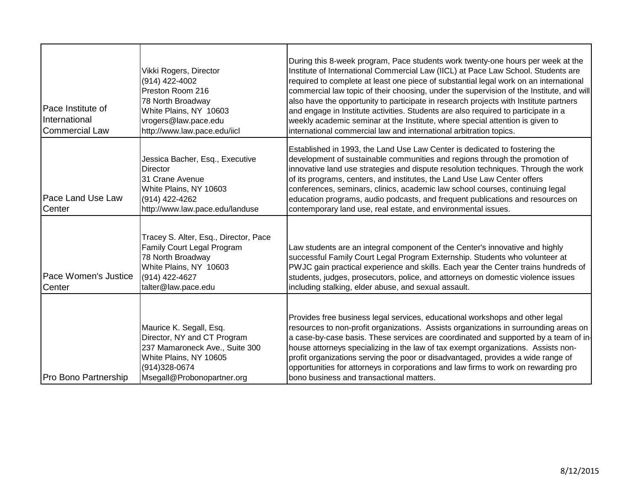| Pace Institute of<br>International<br><b>Commercial Law</b> | Vikki Rogers, Director<br>(914) 422-4002<br>Preston Room 216<br>78 North Broadway<br>White Plains, NY 10603<br>vrogers@law.pace.edu<br>http://www.law.pace.edu/iicl | During this 8-week program, Pace students work twenty-one hours per week at the<br>Institute of International Commercial Law (IICL) at Pace Law School. Students are<br>required to complete at least one piece of substantial legal work on an international<br>commercial law topic of their choosing, under the supervision of the Institute, and will<br>also have the opportunity to participate in research projects with Institute partners<br>and engage in Institute activities. Students are also required to participate in a<br>weekly academic seminar at the Institute, where special attention is given to<br>international commercial law and international arbitration topics. |
|-------------------------------------------------------------|---------------------------------------------------------------------------------------------------------------------------------------------------------------------|-------------------------------------------------------------------------------------------------------------------------------------------------------------------------------------------------------------------------------------------------------------------------------------------------------------------------------------------------------------------------------------------------------------------------------------------------------------------------------------------------------------------------------------------------------------------------------------------------------------------------------------------------------------------------------------------------|
| Pace Land Use Law<br>Center                                 | Jessica Bacher, Esq., Executive<br>Director<br>31 Crane Avenue<br>White Plains, NY 10603<br>(914) 422-4262<br>http://www.law.pace.edu/landuse                       | Established in 1993, the Land Use Law Center is dedicated to fostering the<br>development of sustainable communities and regions through the promotion of<br>innovative land use strategies and dispute resolution techniques. Through the work<br>of its programs, centers, and institutes, the Land Use Law Center offers<br>conferences, seminars, clinics, academic law school courses, continuing legal<br>education programs, audio podcasts, and frequent publications and resources on<br>contemporary land use, real estate, and environmental issues.                                                                                                                                 |
| Pace Women's Justice<br>Center                              | Tracey S. Alter, Esq., Director, Pace<br>Family Court Legal Program<br>78 North Broadway<br>White Plains, NY 10603<br>(914) 422-4627<br>talter@law.pace.edu         | Law students are an integral component of the Center's innovative and highly<br>successful Family Court Legal Program Externship. Students who volunteer at<br>PWJC gain practical experience and skills. Each year the Center trains hundreds of<br>students, judges, prosecutors, police, and attorneys on domestic violence issues<br>including stalking, elder abuse, and sexual assault.                                                                                                                                                                                                                                                                                                   |
| Pro Bono Partnership                                        | Maurice K. Segall, Esq.<br>Director, NY and CT Program<br>237 Mamaroneck Ave., Suite 300<br>White Plains, NY 10605<br>(914) 328-0674<br>Msegall@Probonopartner.org  | Provides free business legal services, educational workshops and other legal<br>resources to non-profit organizations. Assists organizations in surrounding areas on<br>a case-by-case basis. These services are coordinated and supported by a team of in-<br>house attorneys specializing in the law of tax exempt organizations. Assists non-<br>profit organizations serving the poor or disadvantaged, provides a wide range of<br>opportunities for attorneys in corporations and law firms to work on rewarding pro<br>bono business and transactional matters.                                                                                                                          |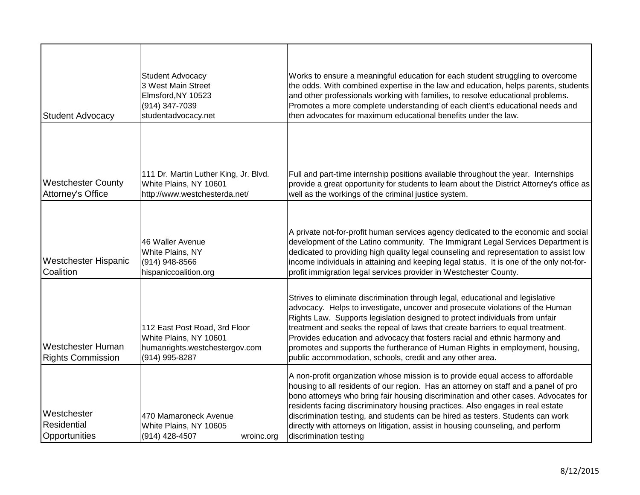| <b>Student Advocacy</b>                              | Student Advocacy<br>3 West Main Street<br>Elmsford, NY 10523<br>(914) 347-7039<br>studentadvocacy.net       | Works to ensure a meaningful education for each student struggling to overcome<br>the odds. With combined expertise in the law and education, helps parents, students<br>and other professionals working with families, to resolve educational problems.<br>Promotes a more complete understanding of each client's educational needs and<br>then advocates for maximum educational benefits under the law.                                                                                                                                                    |
|------------------------------------------------------|-------------------------------------------------------------------------------------------------------------|----------------------------------------------------------------------------------------------------------------------------------------------------------------------------------------------------------------------------------------------------------------------------------------------------------------------------------------------------------------------------------------------------------------------------------------------------------------------------------------------------------------------------------------------------------------|
| <b>Westchester County</b><br>Attorney's Office       | 111 Dr. Martin Luther King, Jr. Blvd.<br>White Plains, NY 10601<br>http://www.westchesterda.net/            | Full and part-time internship positions available throughout the year. Internships<br>provide a great opportunity for students to learn about the District Attorney's office as<br>well as the workings of the criminal justice system.                                                                                                                                                                                                                                                                                                                        |
| Westchester Hispanic<br>Coalition                    | 46 Waller Avenue<br>White Plains, NY<br>(914) 948-8566<br>hispaniccoalition.org                             | A private not-for-profit human services agency dedicated to the economic and social<br>development of the Latino community. The Immigrant Legal Services Department is<br>dedicated to providing high quality legal counseling and representation to assist low<br>income individuals in attaining and keeping legal status. It is one of the only not-for-<br>profit immigration legal services provider in Westchester County.                                                                                                                               |
| <b>Westchester Human</b><br><b>Rights Commission</b> | 112 East Post Road, 3rd Floor<br>White Plains, NY 10601<br>humanrights.westchestergov.com<br>(914) 995-8287 | Strives to eliminate discrimination through legal, educational and legislative<br>advocacy. Helps to investigate, uncover and prosecute violations of the Human<br>Rights Law. Supports legislation designed to protect individuals from unfair<br>treatment and seeks the repeal of laws that create barriers to equal treatment.<br>Provides education and advocacy that fosters racial and ethnic harmony and<br>promotes and supports the furtherance of Human Rights in employment, housing,<br>public accommodation, schools, credit and any other area. |
| Westchester<br>Residential<br>Opportunities          | 470 Mamaroneck Avenue<br>White Plains, NY 10605<br>(914) 428-4507<br>wroinc.org                             | A non-profit organization whose mission is to provide equal access to affordable<br>housing to all residents of our region. Has an attorney on staff and a panel of pro<br>bono attorneys who bring fair housing discrimination and other cases. Advocates for<br>residents facing discriminatory housing practices. Also engages in real estate<br>discrimination testing, and students can be hired as testers. Students can work<br>directly with attorneys on litigation, assist in housing counseling, and perform<br>discrimination testing              |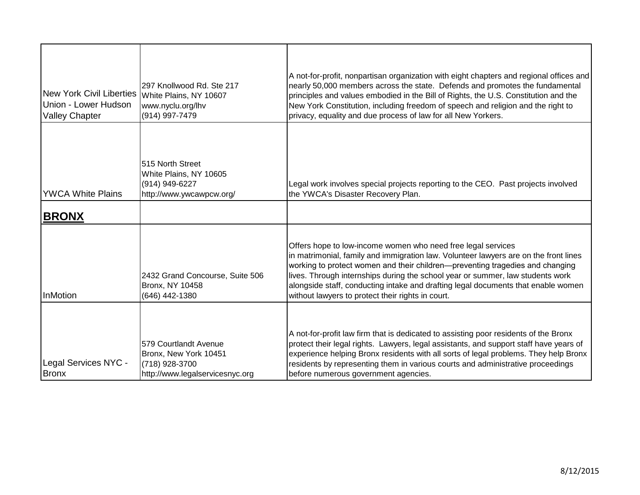| New York Civil Liberties   White Plains, NY 10607<br>Union - Lower Hudson<br><b>Valley Chapter</b> | 297 Knollwood Rd. Ste 217<br>www.nyclu.org/lhv<br>(914) 997-7479                                    | A not-for-profit, nonpartisan organization with eight chapters and regional offices and<br>nearly 50,000 members across the state. Defends and promotes the fundamental<br>principles and values embodied in the Bill of Rights, the U.S. Constitution and the<br>New York Constitution, including freedom of speech and religion and the right to<br>privacy, equality and due process of law for all New Yorkers.                                               |
|----------------------------------------------------------------------------------------------------|-----------------------------------------------------------------------------------------------------|-------------------------------------------------------------------------------------------------------------------------------------------------------------------------------------------------------------------------------------------------------------------------------------------------------------------------------------------------------------------------------------------------------------------------------------------------------------------|
| <b>IYWCA White Plains</b>                                                                          | 515 North Street<br>White Plains, NY 10605<br>(914) 949-6227<br>http://www.ywcawpcw.org/            | Legal work involves special projects reporting to the CEO. Past projects involved<br>the YWCA's Disaster Recovery Plan.                                                                                                                                                                                                                                                                                                                                           |
| <b>BRONX</b>                                                                                       |                                                                                                     |                                                                                                                                                                                                                                                                                                                                                                                                                                                                   |
| <b>InMotion</b>                                                                                    | 2432 Grand Concourse, Suite 506<br><b>Bronx, NY 10458</b><br>(646) 442-1380                         | Offers hope to low-income women who need free legal services<br>in matrimonial, family and immigration law. Volunteer lawyers are on the front lines<br>working to protect women and their children-preventing tragedies and changing<br>lives. Through internships during the school year or summer, law students work<br>alongside staff, conducting intake and drafting legal documents that enable women<br>without lawyers to protect their rights in court. |
| Legal Services NYC -<br><b>Bronx</b>                                                               | 579 Courtlandt Avenue<br>Bronx, New York 10451<br>(718) 928-3700<br>http://www.legalservicesnyc.org | A not-for-profit law firm that is dedicated to assisting poor residents of the Bronx<br>protect their legal rights. Lawyers, legal assistants, and support staff have years of<br>experience helping Bronx residents with all sorts of legal problems. They help Bronx<br>residents by representing them in various courts and administrative proceedings<br>before numerous government agencies.                                                                 |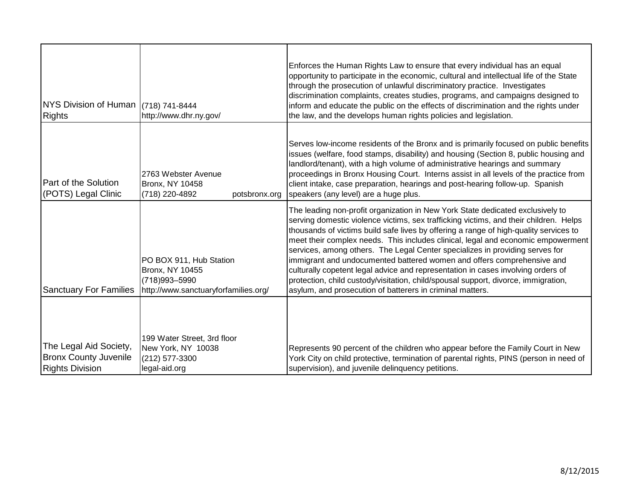| NYS Division of Human (718) 741-8444<br><b>Rights</b>                            | http://www.dhr.ny.gov/                                                                                        | Enforces the Human Rights Law to ensure that every individual has an equal<br>opportunity to participate in the economic, cultural and intellectual life of the State<br>through the prosecution of unlawful discriminatory practice. Investigates<br>discrimination complaints, creates studies, programs, and campaigns designed to<br>inform and educate the public on the effects of discrimination and the rights under<br>the law, and the develops human rights policies and legislation.                                                                                                                                                                                                                                                      |
|----------------------------------------------------------------------------------|---------------------------------------------------------------------------------------------------------------|-------------------------------------------------------------------------------------------------------------------------------------------------------------------------------------------------------------------------------------------------------------------------------------------------------------------------------------------------------------------------------------------------------------------------------------------------------------------------------------------------------------------------------------------------------------------------------------------------------------------------------------------------------------------------------------------------------------------------------------------------------|
| <b>Part of the Solution</b><br>(POTS) Legal Clinic                               | 2763 Webster Avenue<br><b>Bronx, NY 10458</b><br>(718) 220-4892<br>potsbronx.org                              | Serves low-income residents of the Bronx and is primarily focused on public benefits<br>issues (welfare, food stamps, disability) and housing (Section 8, public housing and<br>landlord/tenant), with a high volume of administrative hearings and summary<br>proceedings in Bronx Housing Court. Interns assist in all levels of the practice from<br>client intake, case preparation, hearings and post-hearing follow-up. Spanish<br>speakers (any level) are a huge plus.                                                                                                                                                                                                                                                                        |
| <b>Sanctuary For Families</b>                                                    | PO BOX 911, Hub Station<br><b>Bronx, NY 10455</b><br>(718) 993 - 5990<br>http://www.sanctuaryforfamilies.org/ | The leading non-profit organization in New York State dedicated exclusively to<br>serving domestic violence victims, sex trafficking victims, and their children. Helps<br>thousands of victims build safe lives by offering a range of high-quality services to<br>meet their complex needs. This includes clinical, legal and economic empowerment<br>services, among others. The Legal Center specializes in providing serves for<br>immigrant and undocumented battered women and offers comprehensive and<br>culturally copetent legal advice and representation in cases involving orders of<br>protection, child custody/visitation, child/spousal support, divorce, immigration,<br>asylum, and prosecution of batterers in criminal matters. |
| The Legal Aid Society,<br><b>Bronx County Juvenile</b><br><b>Rights Division</b> | 199 Water Street, 3rd floor<br>New York, NY 10038<br>(212) 577-3300<br>legal-aid.org                          | Represents 90 percent of the children who appear before the Family Court in New<br>York City on child protective, termination of parental rights, PINS (person in need of<br>supervision), and juvenile delinquency petitions.                                                                                                                                                                                                                                                                                                                                                                                                                                                                                                                        |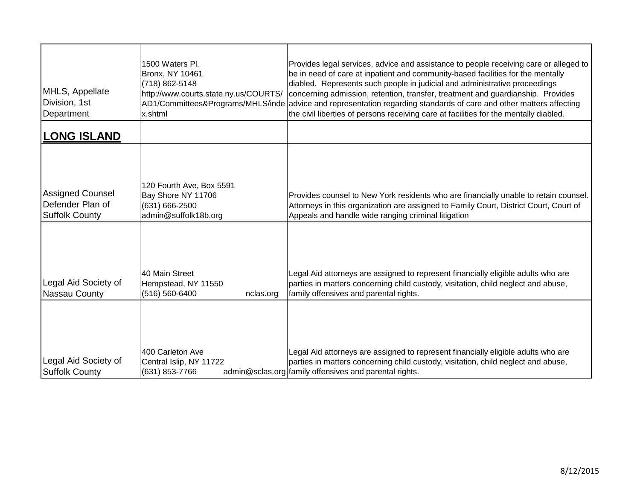| MHLS, Appellate<br>Division, 1st<br>Department                       | 1500 Waters Pl.<br><b>Bronx, NY 10461</b><br>(718) 862-5148<br>http://www.courts.state.ny.us/COURTS/<br>x.shtml | Provides legal services, advice and assistance to people receiving care or alleged to<br>be in need of care at inpatient and community-based facilities for the mentally<br>diabled. Represents such people in judicial and administrative proceedings<br>concerning admission, retention, transfer, treatment and guardianship. Provides<br>AD1/Committees&Programs/MHLS/inde advice and representation regarding standards of care and other matters affecting<br>the civil liberties of persons receiving care at facilities for the mentally diabled. |
|----------------------------------------------------------------------|-----------------------------------------------------------------------------------------------------------------|-----------------------------------------------------------------------------------------------------------------------------------------------------------------------------------------------------------------------------------------------------------------------------------------------------------------------------------------------------------------------------------------------------------------------------------------------------------------------------------------------------------------------------------------------------------|
| <b>LONG ISLAND</b>                                                   |                                                                                                                 |                                                                                                                                                                                                                                                                                                                                                                                                                                                                                                                                                           |
| <b>Assigned Counsel</b><br>Defender Plan of<br><b>Suffolk County</b> | 120 Fourth Ave, Box 5591<br>Bay Shore NY 11706<br>(631) 666-2500<br>admin@suffolk18b.org                        | Provides counsel to New York residents who are financially unable to retain counsel.<br>Attorneys in this organization are assigned to Family Court, District Court, Court of<br>Appeals and handle wide ranging criminal litigation                                                                                                                                                                                                                                                                                                                      |
| Legal Aid Society of<br>Nassau County                                | 40 Main Street<br>Hempstead, NY 11550<br>(516) 560-6400<br>nclas.org                                            | Legal Aid attorneys are assigned to represent financially eligible adults who are<br>parties in matters concerning child custody, visitation, child neglect and abuse,<br>family offensives and parental rights.                                                                                                                                                                                                                                                                                                                                          |
| Legal Aid Society of<br><b>Suffolk County</b>                        | 400 Carleton Ave<br>Central Islip, NY 11722<br>(631) 853-7766                                                   | Legal Aid attorneys are assigned to represent financially eligible adults who are<br>parties in matters concerning child custody, visitation, child neglect and abuse,<br>admin@sclas.org family offensives and parental rights.                                                                                                                                                                                                                                                                                                                          |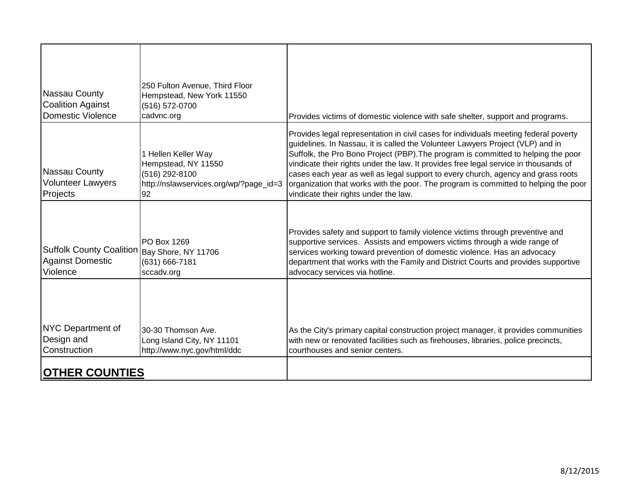| Nassau County<br><b>Coalition Against</b><br>Domestic Violence           | 250 Fulton Avenue, Third Floor<br>Hempstead, New York 11550<br>(516) 572-0700<br>cadvnc.org                  | Provides victims of domestic violence with safe shelter, support and programs.                                                                                                                                                                                                                                                                                                                                                                                                                                                                                          |
|--------------------------------------------------------------------------|--------------------------------------------------------------------------------------------------------------|-------------------------------------------------------------------------------------------------------------------------------------------------------------------------------------------------------------------------------------------------------------------------------------------------------------------------------------------------------------------------------------------------------------------------------------------------------------------------------------------------------------------------------------------------------------------------|
| Nassau County<br><b>Volunteer Lawyers</b><br>Projects                    | 1 Hellen Keller Way<br>Hempstead, NY 11550<br>(516) 292-8100<br>http://nslawservices.org/wp/?page_id=3<br>92 | Provides legal representation in civil cases for individuals meeting federal poverty<br>guidelines. In Nassau, it is called the Volunteer Lawyers Project (VLP) and in<br>Suffolk, the Pro Bono Project (PBP). The program is committed to helping the poor<br>vindicate their rights under the law. It provides free legal service in thousands of<br>cases each year as well as legal support to every church, agency and grass roots<br>organization that works with the poor. The program is committed to helping the poor<br>vindicate their rights under the law. |
| <b>Suffolk County Coalition</b><br><b>Against Domestic</b><br>Violence   | <b>PO Box 1269</b><br>Bay Shore, NY 11706<br>(631) 666-7181<br>sccadv.org                                    | Provides safety and support to family violence victims through preventive and<br>supportive services. Assists and empowers victims through a wide range of<br>services working toward prevention of domestic violence. Has an advocacy<br>department that works with the Family and District Courts and provides supportive<br>advocacy services via hotline.                                                                                                                                                                                                           |
| NYC Department of<br>Design and<br>Construction<br><b>OTHER COUNTIES</b> | 30-30 Thomson Ave.<br>Long Island City, NY 11101<br>http://www.nyc.gov/html/ddc                              | As the City's primary capital construction project manager, it provides communities<br>with new or renovated facilities such as firehouses, libraries, police precincts,<br>courthouses and senior centers.                                                                                                                                                                                                                                                                                                                                                             |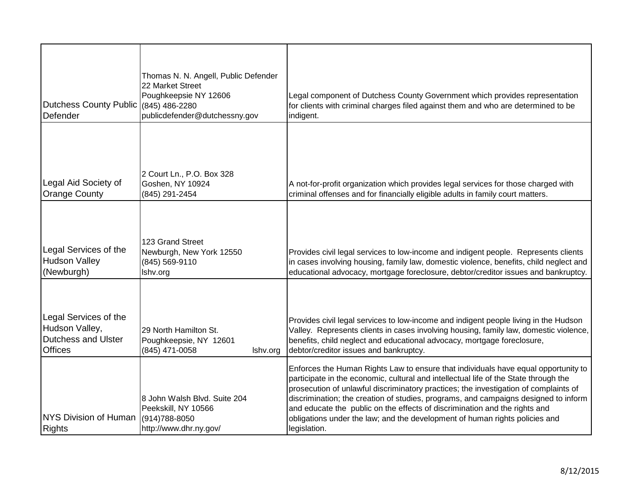| Dutchess County Public (845) 486-2280<br>Defender                                       | Thomas N. N. Angell, Public Defender<br>22 Market Street<br>Poughkeepsie NY 12606<br>publicdefender@dutchessny.gov | Legal component of Dutchess County Government which provides representation<br>for clients with criminal charges filed against them and who are determined to be<br>indigent.                                                                                                                                                                                                                                                                                                                                                          |
|-----------------------------------------------------------------------------------------|--------------------------------------------------------------------------------------------------------------------|----------------------------------------------------------------------------------------------------------------------------------------------------------------------------------------------------------------------------------------------------------------------------------------------------------------------------------------------------------------------------------------------------------------------------------------------------------------------------------------------------------------------------------------|
| Legal Aid Society of<br><b>Orange County</b>                                            | 2 Court Ln., P.O. Box 328<br>Goshen, NY 10924<br>(845) 291-2454                                                    | A not-for-profit organization which provides legal services for those charged with<br>criminal offenses and for financially eligible adults in family court matters.                                                                                                                                                                                                                                                                                                                                                                   |
| Legal Services of the<br><b>Hudson Valley</b><br>(Newburgh)                             | 123 Grand Street<br>Newburgh, New York 12550<br>(845) 569-9110<br>Ishv.org                                         | Provides civil legal services to low-income and indigent people. Represents clients<br>in cases involving housing, family law, domestic violence, benefits, child neglect and<br>educational advocacy, mortgage foreclosure, debtor/creditor issues and bankruptcy.                                                                                                                                                                                                                                                                    |
| Legal Services of the<br>Hudson Valley,<br><b>Dutchess and Ulster</b><br><b>Offices</b> | 29 North Hamilton St.<br>Poughkeepsie, NY 12601<br>(845) 471-0058<br>Ishv.org                                      | Provides civil legal services to low-income and indigent people living in the Hudson<br>Valley. Represents clients in cases involving housing, family law, domestic violence,<br>benefits, child neglect and educational advocacy, mortgage foreclosure,<br>debtor/creditor issues and bankruptcy.                                                                                                                                                                                                                                     |
| <b>NYS Division of Human</b><br><b>Rights</b>                                           | 8 John Walsh Blvd. Suite 204<br>Peekskill, NY 10566<br>(914) 788-8050<br>http://www.dhr.ny.gov/                    | Enforces the Human Rights Law to ensure that individuals have equal opportunity to<br>participate in the economic, cultural and intellectual life of the State through the<br>prosecution of unlawful discriminatory practices; the investigation of complaints of<br>discrimination; the creation of studies, programs, and campaigns designed to inform<br>and educate the public on the effects of discrimination and the rights and<br>obligations under the law; and the development of human rights policies and<br>legislation. |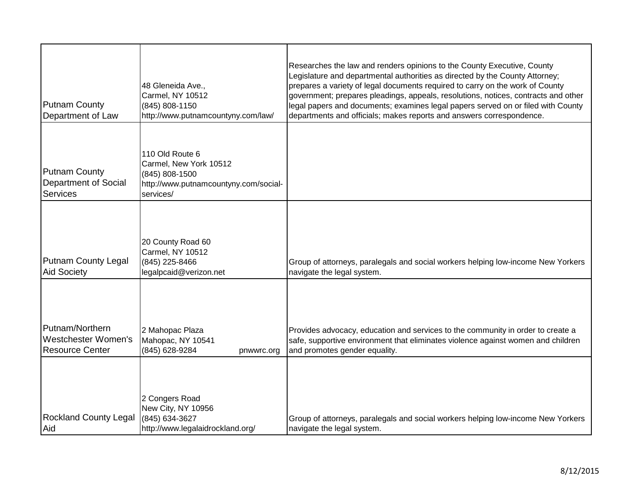| <b>Putnam County</b><br>Department of Law                        | 48 Gleneida Ave.,<br>Carmel, NY 10512<br>(845) 808-1150<br>http://www.putnamcountyny.com/law/                     | Researches the law and renders opinions to the County Executive, County<br>Legislature and departmental authorities as directed by the County Attorney;<br>prepares a variety of legal documents required to carry on the work of County<br>government; prepares pleadings, appeals, resolutions, notices, contracts and other<br>legal papers and documents; examines legal papers served on or filed with County<br>departments and officials; makes reports and answers correspondence. |
|------------------------------------------------------------------|-------------------------------------------------------------------------------------------------------------------|--------------------------------------------------------------------------------------------------------------------------------------------------------------------------------------------------------------------------------------------------------------------------------------------------------------------------------------------------------------------------------------------------------------------------------------------------------------------------------------------|
| <b>Putnam County</b><br><b>Department of Social</b><br>Services  | 110 Old Route 6<br>Carmel, New York 10512<br>(845) 808-1500<br>http://www.putnamcountyny.com/social-<br>services/ |                                                                                                                                                                                                                                                                                                                                                                                                                                                                                            |
| <b>Putnam County Legal</b><br><b>Aid Society</b>                 | 20 County Road 60<br>Carmel, NY 10512<br>(845) 225-8466<br>legalpcaid@verizon.net                                 | Group of attorneys, paralegals and social workers helping low-income New Yorkers<br>navigate the legal system.                                                                                                                                                                                                                                                                                                                                                                             |
| Putnam/Northern<br>Westchester Women's<br><b>Resource Center</b> | 2 Mahopac Plaza<br>Mahopac, NY 10541<br>(845) 628-9284<br>pnwwrc.org                                              | Provides advocacy, education and services to the community in order to create a<br>safe, supportive environment that eliminates violence against women and children<br>and promotes gender equality.                                                                                                                                                                                                                                                                                       |
| <b>Rockland County Legal</b><br>Aid                              | 2 Congers Road<br>New City, NY 10956<br>(845) 634-3627<br>http://www.legalaidrockland.org/                        | Group of attorneys, paralegals and social workers helping low-income New Yorkers<br>navigate the legal system.                                                                                                                                                                                                                                                                                                                                                                             |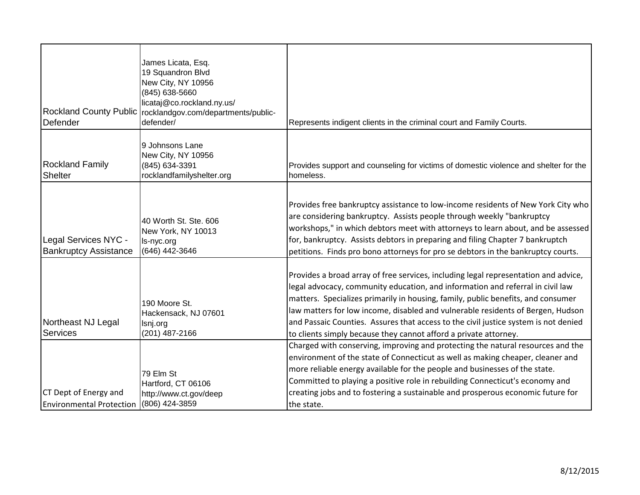| Defender                                                 | James Licata, Esq.<br>19 Squandron Blvd<br>New City, NY 10956<br>(845) 638-5660<br>licataj@co.rockland.ny.us/<br>Rockland County Public   rocklandgov.com/departments/public-<br>defender/ | Represents indigent clients in the criminal court and Family Courts.                                                                                                                                                                                                                                                                                                                                                                                                                                    |
|----------------------------------------------------------|--------------------------------------------------------------------------------------------------------------------------------------------------------------------------------------------|---------------------------------------------------------------------------------------------------------------------------------------------------------------------------------------------------------------------------------------------------------------------------------------------------------------------------------------------------------------------------------------------------------------------------------------------------------------------------------------------------------|
| <b>Rockland Family</b><br>Shelter                        | 9 Johnsons Lane<br>New City, NY 10956<br>(845) 634-3391<br>rocklandfamilyshelter.org                                                                                                       | Provides support and counseling for victims of domestic violence and shelter for the<br>homeless.                                                                                                                                                                                                                                                                                                                                                                                                       |
| Legal Services NYC -<br><b>Bankruptcy Assistance</b>     | 40 Worth St. Ste. 606<br>New York, NY 10013<br>Is-nyc.org<br>(646) 442-3646                                                                                                                | Provides free bankruptcy assistance to low-income residents of New York City who<br>are considering bankruptcy. Assists people through weekly "bankruptcy<br>workshops," in which debtors meet with attorneys to learn about, and be assessed<br>for, bankruptcy. Assists debtors in preparing and filing Chapter 7 bankruptch<br>petitions. Finds pro bono attorneys for pro se debtors in the bankruptcy courts.                                                                                      |
| Northeast NJ Legal<br>Services                           | 190 Moore St.<br>Hackensack, NJ 07601<br>Isnj.org<br>(201) 487-2166                                                                                                                        | Provides a broad array of free services, including legal representation and advice,<br>legal advocacy, community education, and information and referral in civil law<br>matters. Specializes primarily in housing, family, public benefits, and consumer<br>law matters for low income, disabled and vulnerable residents of Bergen, Hudson<br>and Passaic Counties. Assures that access to the civil justice system is not denied<br>to clients simply because they cannot afford a private attorney. |
| CT Dept of Energy and<br><b>Environmental Protection</b> | 79 Elm St<br>Hartford, CT 06106<br>http://www.ct.gov/deep<br>(806) 424-3859                                                                                                                | Charged with conserving, improving and protecting the natural resources and the<br>environment of the state of Connecticut as well as making cheaper, cleaner and<br>more reliable energy available for the people and businesses of the state.<br>Committed to playing a positive role in rebuilding Connecticut's economy and<br>creating jobs and to fostering a sustainable and prosperous economic future for<br>the state.                                                                        |